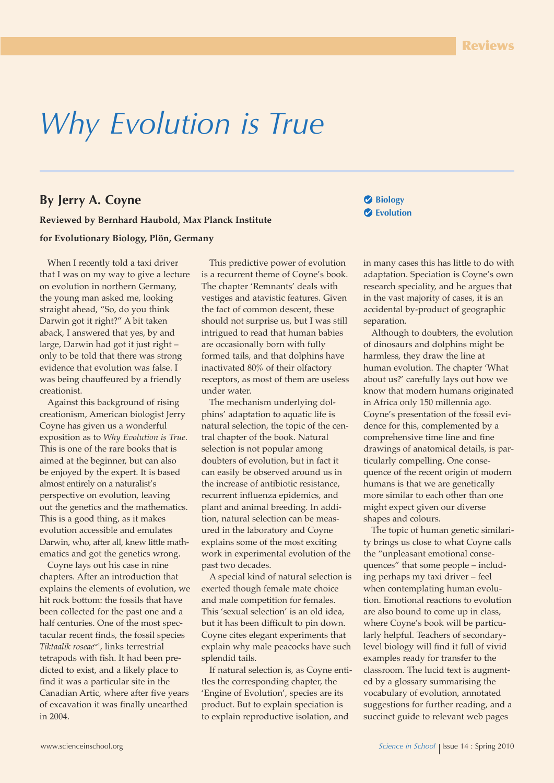# *Why Evolution is True*

## **By Jerry A. Coyne**

**Reviewed by Bernhard Haubold, Max Planck Institute for Evolutionary Biology, Plön, Germany**

When I recently told a taxi driver that I was on my way to give a lecture on evolution in northern Germany, the young man asked me, looking straight ahead, "So, do you think Darwin got it right?" A bit taken aback, I answered that yes, by and large, Darwin had got it just right – only to be told that there was strong evidence that evolution was false. I was being chauffeured by a friendly creationist.

Against this background of rising creationism, American biologist Jerry Coyne has given us a wonderful exposition as to *Why Evolution is True*. This is one of the rare books that is aimed at the beginner, but can also be enjoyed by the expert. It is based almost entirely on a naturalist's perspective on evolution, leaving out the genetics and the mathematics. This is a good thing, as it makes evolution accessible and emulates Darwin, who, after all, knew little mathematics and got the genetics wrong.

Coyne lays out his case in nine chapters. After an introduction that explains the elements of evolution, we hit rock bottom: the fossils that have been collected for the past one and a half centuries. One of the most spectacular recent finds, the fossil species *Tiktaalik roseae*w1 , links terrestrial tetrapods with fish. It had been predicted to exist, and a likely place to find it was a particular site in the Canadian Artic, where after five years of excavation it was finally unearthed in 2004.

This predictive power of evolution is a recurrent theme of Coyne's book. The chapter 'Remnants' deals with vestiges and atavistic features. Given the fact of common descent, these should not surprise us, but I was still intrigued to read that human babies are occasionally born with fully formed tails, and that dolphins have inactivated 80% of their olfactory receptors, as most of them are useless under water.

The mechanism underlying dolphins' adaptation to aquatic life is natural selection, the topic of the central chapter of the book. Natural selection is not popular among doubters of evolution, but in fact it can easily be observed around us in the increase of antibiotic resistance, recurrent influenza epidemics, and plant and animal breeding. In addition, natural selection can be measured in the laboratory and Coyne explains some of the most exciting work in experimental evolution of the past two decades.

A special kind of natural selection is exerted though female mate choice and male competition for females. This 'sexual selection' is an old idea, but it has been difficult to pin down. Coyne cites elegant experiments that explain why male peacocks have such splendid tails.

If natural selection is, as Coyne entitles the corresponding chapter, the 'Engine of Evolution', species are its product. But to explain speciation is to explain reproductive isolation, and

**Biology Evolution**

in many cases this has little to do with adaptation. Speciation is Coyne's own research speciality, and he argues that in the vast majority of cases, it is an accidental by-product of geographic separation.

Although to doubters, the evolution of dinosaurs and dolphins might be harmless, they draw the line at human evolution. The chapter 'What about us?' carefully lays out how we know that modern humans originated in Africa only 150 millennia ago. Coyne's presentation of the fossil evidence for this, complemented by a comprehensive time line and fine drawings of anatomical details, is particularly compelling. One consequence of the recent origin of modern humans is that we are genetically more similar to each other than one might expect given our diverse shapes and colours.

The topic of human genetic similarity brings us close to what Coyne calls the "unpleasant emotional consequences" that some people – including perhaps my taxi driver – feel when contemplating human evolution. Emotional reactions to evolution are also bound to come up in class, where Coyne's book will be particularly helpful. Teachers of secondarylevel biology will find it full of vivid examples ready for transfer to the classroom. The lucid text is augmented by a glossary summarising the vocabulary of evolution, annotated suggestions for further reading, and a succinct guide to relevant web pages